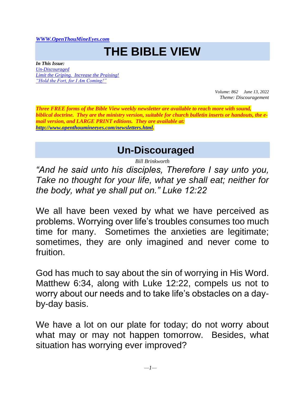*[WWW.OpenThouMineEyes.com](http://www.openthoumineeyes.com/)*

## **THE BIBLE VIEW**

*In This Issue: [Un-Discouraged](#page-0-0) [Limit the Griping. Increase the Praising!](#page-2-0) ["Hold the Fort, for I Am Coming!"](#page-5-0)*

> *Volume: 862 June 13, 2022 Theme: Discouragement*

*Three FREE forms of the Bible View weekly newsletter are available to reach more with sound, biblical doctrine. They are the ministry version, suitable for church bulletin inserts or handouts, the email version, and LARGE PRINT editions. They are available at: [http://www.openthoumineeyes.com/newsletters.html.](http://www.openthoumineeyes.com/newsletters.html)* 

**Un-Discouraged**

*Bill Brinkworth*

<span id="page-0-0"></span>*"And he said unto his disciples, Therefore I say unto you, Take no thought for your life, what ye shall eat; neither for the body, what ye shall put on." Luke 12:22* 

We all have been vexed by what we have perceived as problems. Worrying over life's troubles consumes too much time for many. Sometimes the anxieties are legitimate; sometimes, they are only imagined and never come to fruition.

God has much to say about the sin of worrying in His Word. Matthew 6:34, along with Luke 12:22, compels us not to worry about our needs and to take life's obstacles on a dayby-day basis.

We have a lot on our plate for today; do not worry about what may or may not happen tomorrow. Besides, what situation has worrying ever improved?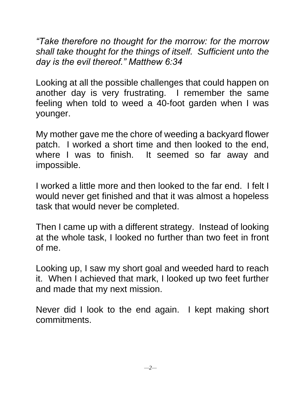*"Take therefore no thought for the morrow: for the morrow shall take thought for the things of itself. Sufficient unto the day is the evil thereof." Matthew 6:34*

Looking at all the possible challenges that could happen on another day is very frustrating. I remember the same feeling when told to weed a 40-foot garden when I was younger.

My mother gave me the chore of weeding a backyard flower patch. I worked a short time and then looked to the end, where I was to finish. It seemed so far away and impossible.

I worked a little more and then looked to the far end. I felt I would never get finished and that it was almost a hopeless task that would never be completed.

Then I came up with a different strategy. Instead of looking at the whole task, I looked no further than two feet in front of me.

Looking up, I saw my short goal and weeded hard to reach it. When I achieved that mark, I looked up two feet further and made that my next mission.

Never did I look to the end again. I kept making short commitments.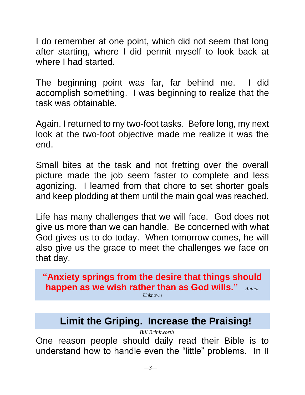I do remember at one point, which did not seem that long after starting, where I did permit myself to look back at where I had started.

The beginning point was far, far behind me. I did accomplish something. I was beginning to realize that the task was obtainable.

Again, I returned to my two-foot tasks. Before long, my next look at the two-foot objective made me realize it was the end.

Small bites at the task and not fretting over the overall picture made the job seem faster to complete and less agonizing. I learned from that chore to set shorter goals and keep plodding at them until the main goal was reached.

Life has many challenges that we will face. God does not give us more than we can handle. Be concerned with what God gives us to do today. When tomorrow comes, he will also give us the grace to meet the challenges we face on that day.

**"Anxiety springs from the desire that things should happen as we wish rather than as God wills."** *— Author* 

*Unknown*

## **Limit the Griping. Increase the Praising!**

*Bill Brinkworth*

<span id="page-2-0"></span>One reason people should daily read their Bible is to understand how to handle even the "little" problems. In II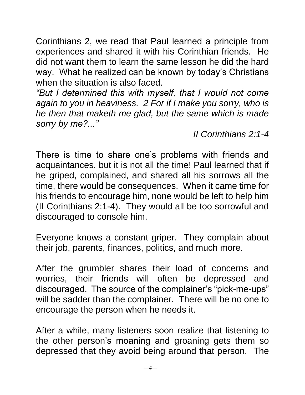Corinthians 2, we read that Paul learned a principle from experiences and shared it with his Corinthian friends. He did not want them to learn the same lesson he did the hard way. What he realized can be known by today's Christians when the situation is also faced.

*"But I determined this with myself, that I would not come again to you in heaviness. 2 For if I make you sorry, who is he then that maketh me glad, but the same which is made sorry by me?..."*

*II Corinthians 2:1-4*

There is time to share one's problems with friends and acquaintances, but it is not all the time! Paul learned that if he griped, complained, and shared all his sorrows all the time, there would be consequences. When it came time for his friends to encourage him, none would be left to help him (II Corinthians 2:1-4). They would all be too sorrowful and discouraged to console him.

Everyone knows a constant griper. They complain about their job, parents, finances, politics, and much more.

After the grumbler shares their load of concerns and worries, their friends will often be depressed and discouraged. The source of the complainer's "pick-me-ups" will be sadder than the complainer. There will be no one to encourage the person when he needs it.

After a while, many listeners soon realize that listening to the other person's moaning and groaning gets them so depressed that they avoid being around that person. The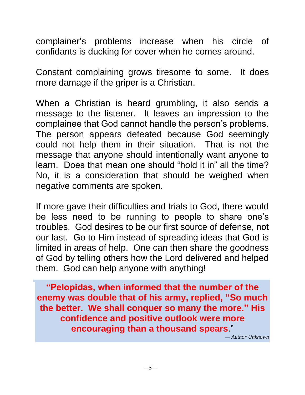complainer's problems increase when his circle of confidants is ducking for cover when he comes around.

Constant complaining grows tiresome to some. It does more damage if the griper is a Christian.

When a Christian is heard grumbling, it also sends a message to the listener. It leaves an impression to the complainee that God cannot handle the person's problems. The person appears defeated because God seemingly could not help them in their situation. That is not the message that anyone should intentionally want anyone to learn. Does that mean one should "hold it in" all the time? No, it is a consideration that should be weighed when negative comments are spoken.

If more gave their difficulties and trials to God, there would be less need to be running to people to share one's troubles. God desires to be our first source of defense, not our last. Go to Him instead of spreading ideas that God is limited in areas of help. One can then share the goodness of God by telling others how the Lord delivered and helped them. God can help anyone with anything!

**"Pelopidas, when informed that the number of the enemy was double that of his army, replied, "So much the better. We shall conquer so many the more." His confidence and positive outlook were more encouraging than a thousand spears**."

*— Author Unknown*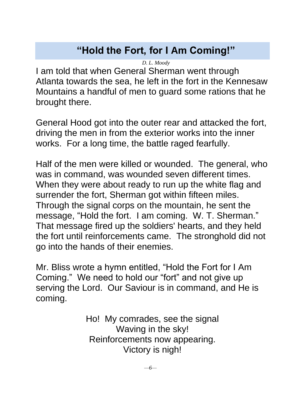## **"Hold the Fort, for I Am Coming!"**

*D. L. Moody*

<span id="page-5-0"></span>I am told that when General Sherman went through Atlanta towards the sea, he left in the fort in the Kennesaw Mountains a handful of men to guard some rations that he brought there.

General Hood got into the outer rear and attacked the fort, driving the men in from the exterior works into the inner works. For a long time, the battle raged fearfully.

Half of the men were killed or wounded. The general, who was in command, was wounded seven different times. When they were about ready to run up the white flag and surrender the fort, Sherman got within fifteen miles. Through the signal corps on the mountain, he sent the message, "Hold the fort. I am coming. W. T. Sherman." That message fired up the soldiers' hearts, and they held the fort until reinforcements came. The stronghold did not go into the hands of their enemies.

Mr. Bliss wrote a hymn entitled, "Hold the Fort for I Am Coming." We need to hold our "fort" and not give up serving the Lord. Our Saviour is in command, and He is coming.

> Ho! My comrades, see the signal Waving in the sky! Reinforcements now appearing. Victory is nigh!